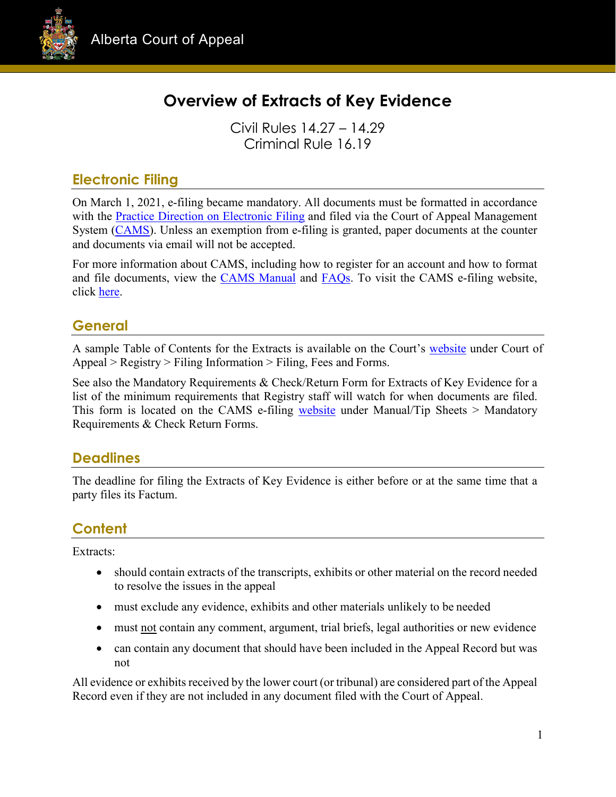

# **Overview of Extracts of Key Evidence**

Civil Rules 14.27 – 14.29 Criminal Rule 16.19

## **Electronic Filing**

On March 1, 2021, e-filing became mandatory. All documents must be formatted in accordance with the [Practice Direction on Electronic Filing](https://cams.albertacourts.ca/public-portal/files/practiceDirection.pdf) and filed via the Court of Appeal Management System [\(CAMS\)](https://cams.albertacourts.ca/public-portal/). Unless an exemption from e-filing is granted, paper documents at the counter and documents via email will not be accepted.

For more information about CAMS, including how to register for an account and how to format and file documents, view the [CAMS Manual](https://cams.albertacourts.ca/public-portal/files/CAMSManual.pdf) and [FAQs.](https://cams.albertacourts.ca/public-portal/files/FAQS.pdf) To visit the CAMS e-filing website, click [here.](https://cams.albertacourts.ca/public-portal/)

## **General**

A sample Table of Contents for the Extracts is available on the Court's [website](https://www.albertacourts.ca/ca/home) under Court of Appeal > Registry > Filing Information > Filing, Fees and Forms.

See also the Mandatory Requirements & Check/Return Form for Extracts of Key Evidence for a list of the minimum requirements that Registry staff will watch for when documents are filed. This form is located on the CAMS e-filing [website](https://cams.albertacourts.ca/public-portal/) under Manual/Tip Sheets > Mandatory Requirements & Check Return Forms.

### **Deadlines**

The deadline for filing the Extracts of Key Evidence is either before or at the same time that a party files its Factum.

## **Content**

Extracts:

- should contain extracts of the transcripts, exhibits or other material on the record needed to resolve the issues in the appeal
- must exclude any evidence, exhibits and other materials unlikely to be needed
- must not contain any comment, argument, trial briefs, legal authorities or new evidence
- can contain any document that should have been included in the Appeal Record but was not

All evidence or exhibits received by the lower court (or tribunal) are considered part of the Appeal Record even if they are not included in any document filed with the Court of Appeal.